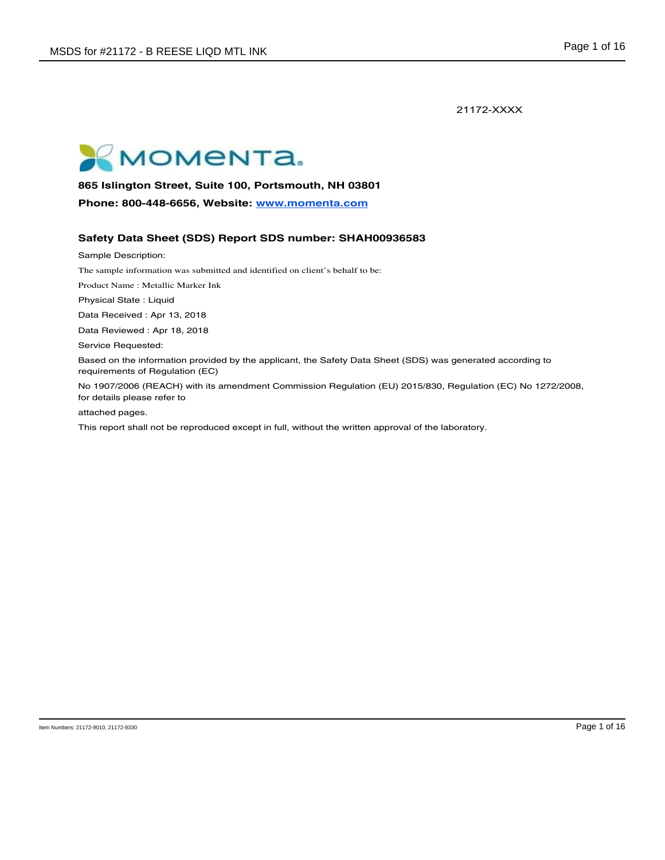21172-XXXX



**865 Islington Street, Suite 100, Portsmouth, NH 03801** 

**Phone: 800-448-6656, Website: www.momenta.com**

# **Safety Data Sheet (SDS) Report SDS number: SHAH00936583**

Sample Description:

The sample information was submitted and identified on client's behalf to be:

Product Name : Metallic Marker Ink

Physical State : Liquid

Data Received : Apr 13, 2018

Data Reviewed : Apr 18, 2018

Service Requested:

Based on the information provided by the applicant, the Safety Data Sheet (SDS) was generated according to requirements of Regulation (EC)

No 1907/2006 (REACH) with its amendment Commission Regulation (EU) 2015/830, Regulation (EC) No 1272/2008, for details please refer to

attached pages.

This report shall not be reproduced except in full, without the written approval of the laboratory.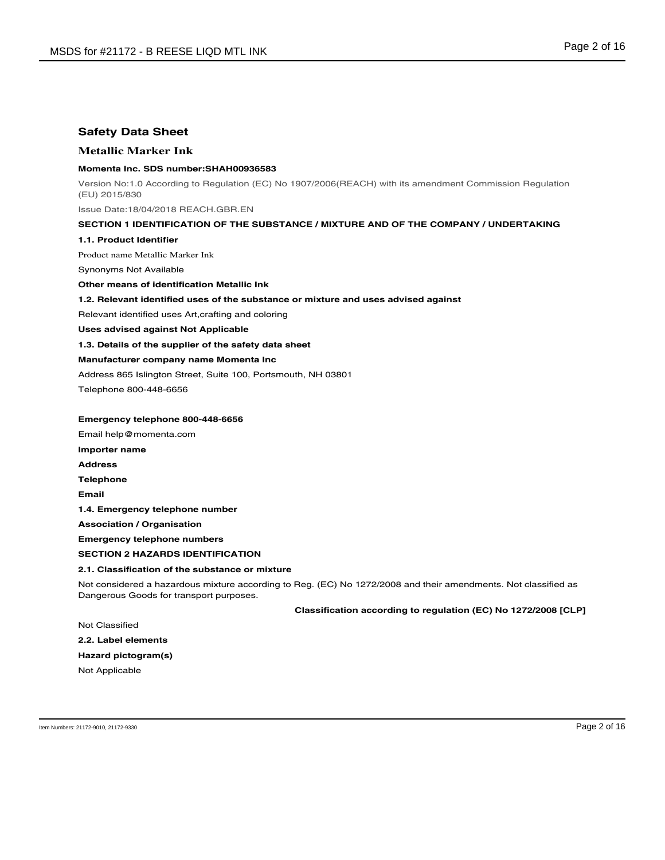# **Safety Data Sheet**

# **Metallic Marker Ink**

## **Momenta Inc. SDS number:SHAH00936583**

Version No:1.0 According to Regulation (EC) No 1907/2006(REACH) with its amendment Commission Regulation (EU) 2015/830

Issue Date:18/04/2018 REACH.GBR.EN

### **SECTION 1 IDENTIFICATION OF THE SUBSTANCE / MIXTURE AND OF THE COMPANY / UNDERTAKING**

### **1.1. Product Identifier**

Product name Metallic Marker Ink

Synonyms Not Available

**Other means of identification Metallic Ink**

# **1.2. Relevant identified uses of the substance or mixture and uses advised against**

Relevant identified uses Art,crafting and coloring

**Uses advised against Not Applicable**

**1.3. Details of the supplier of the safety data sheet**

# **Manufacturer company name Momenta Inc**

Address 865 Islington Street, Suite 100, Portsmouth, NH 03801

Telephone 800-448-6656

### **Emergency telephone 800-448-6656**

Email help@momenta.com **Importer name Address Telephone Email 1.4. Emergency telephone number Association / Organisation**

**Emergency telephone numbers**

### **SECTION 2 HAZARDS IDENTIFICATION**

### **2.1. Classification of the substance or mixture**

Not considered a hazardous mixture according to Reg. (EC) No 1272/2008 and their amendments. Not classified as Dangerous Goods for transport purposes.

# **Classification according to regulation (EC) No 1272/2008 [CLP]**

Not Classified

**2.2. Label elements Hazard pictogram(s)**

Not Applicable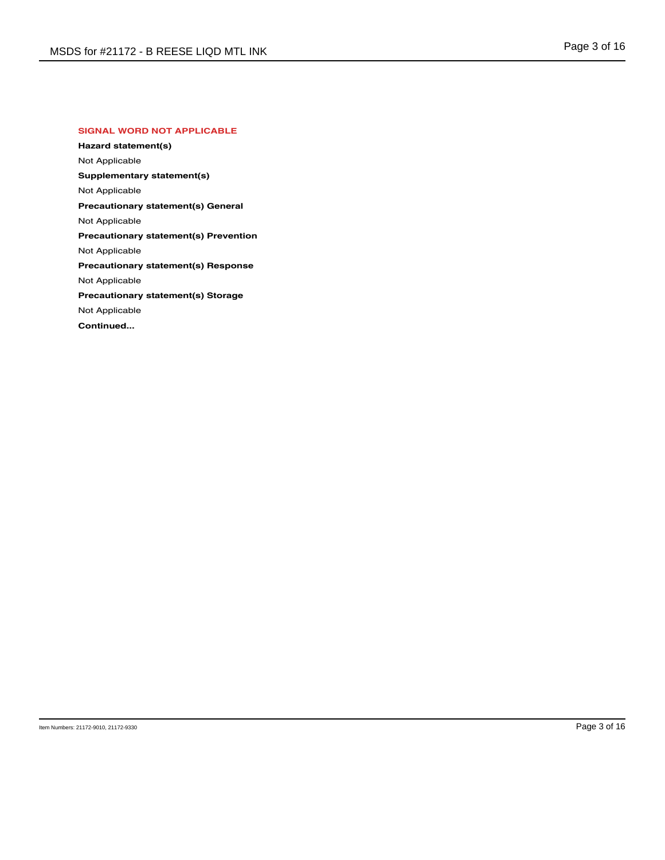# **SIGNAL WORD NOT APPLICABLE**

**Hazard statement(s)** Not Applicable **Supplementary statement(s)** Not Applicable **Precautionary statement(s) General** Not Applicable **Precautionary statement(s) Prevention** Not Applicable **Precautionary statement(s) Response** Not Applicable **Precautionary statement(s) Storage** Not Applicable **Continued...**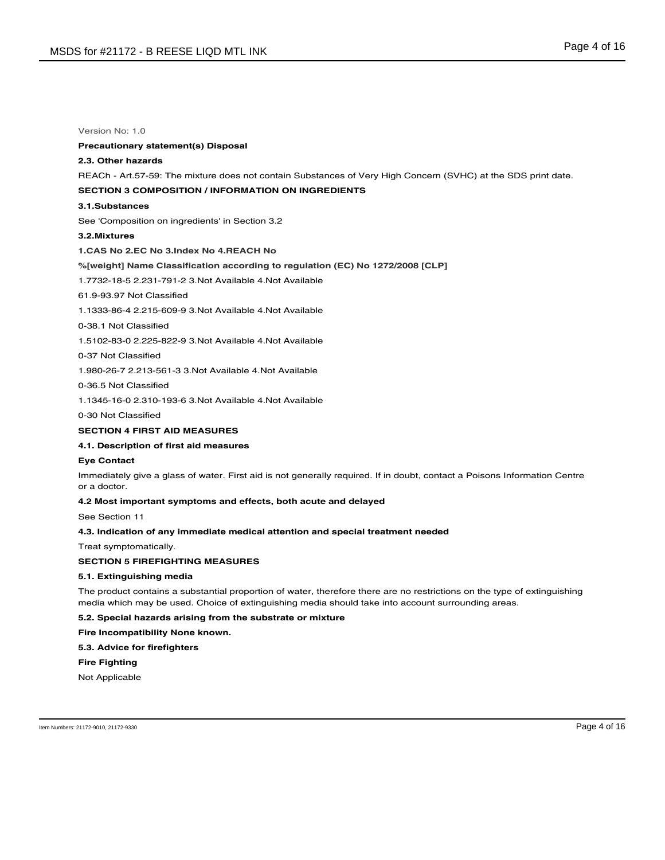# **Precautionary statement(s) Disposal**

# **2.3. Other hazards**

REACh - Art.57-59: The mixture does not contain Substances of Very High Concern (SVHC) at the SDS print date.

### **SECTION 3 COMPOSITION / INFORMATION ON INGREDIENTS**

#### **3.1.Substances**

See 'Composition on ingredients' in Section 3.2

### **3.2.Mixtures**

**1.CAS No 2.EC No 3.Index No 4.REACH No**

### **%[weight] Name Classification according to regulation (EC) No 1272/2008 [CLP]**

1.7732-18-5 2.231-791-2 3.Not Available 4.Not Available

# 61.9-93.97 Not Classified

1.1333-86-4 2.215-609-9 3.Not Available 4.Not Available

#### 0-38.1 Not Classified

1.5102-83-0 2.225-822-9 3.Not Available 4.Not Available

### 0-37 Not Classified

1.980-26-7 2.213-561-3 3.Not Available 4.Not Available

0-36.5 Not Classified

1.1345-16-0 2.310-193-6 3.Not Available 4.Not Available

0-30 Not Classified

# **SECTION 4 FIRST AID MEASURES**

# **4.1. Description of first aid measures**

#### **Eye Contact**

Immediately give a glass of water. First aid is not generally required. If in doubt, contact a Poisons Information Centre or a doctor.

### **4.2 Most important symptoms and effects, both acute and delayed**

See Section 11

# **4.3. Indication of any immediate medical attention and special treatment needed**

Treat symptomatically.

## **SECTION 5 FIREFIGHTING MEASURES**

#### **5.1. Extinguishing media**

The product contains a substantial proportion of water, therefore there are no restrictions on the type of extinguishing media which may be used. Choice of extinguishing media should take into account surrounding areas.

#### **5.2. Special hazards arising from the substrate or mixture**

**Fire Incompatibility None known.**

# **5.3. Advice for firefighters**

### **Fire Fighting**

Not Applicable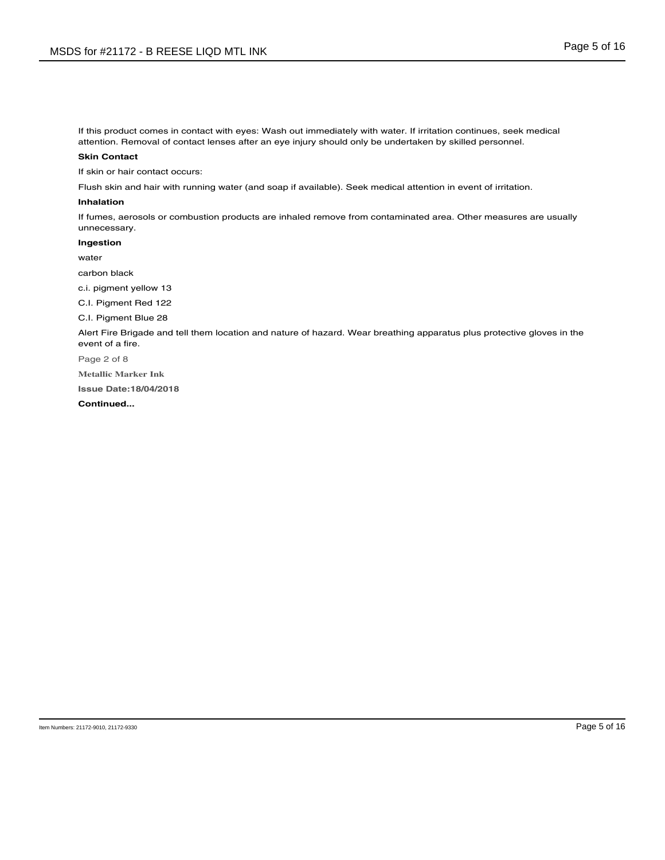If this product comes in contact with eyes: Wash out immediately with water. If irritation continues, seek medical attention. Removal of contact lenses after an eye injury should only be undertaken by skilled personnel.

## **Skin Contact**

If skin or hair contact occurs:

Flush skin and hair with running water (and soap if available). Seek medical attention in event of irritation.

# **Inhalation**

If fumes, aerosols or combustion products are inhaled remove from contaminated area. Other measures are usually unnecessary.

**Ingestion**

water

carbon black

c.i. pigment yellow 13

C.I. Pigment Red 122

C.I. Pigment Blue 28

Alert Fire Brigade and tell them location and nature of hazard. Wear breathing apparatus plus protective gloves in the event of a fire.

Page 2 of 8

**Metallic Marker Ink**

**Issue Date:18/04/2018**

**Continued...**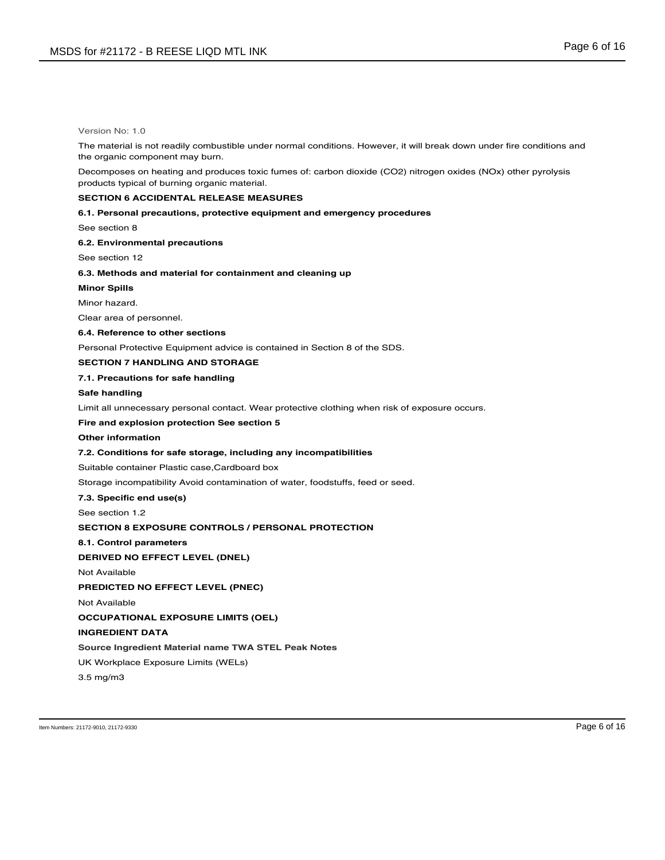The material is not readily combustible under normal conditions. However, it will break down under fire conditions and the organic component may burn.

Decomposes on heating and produces toxic fumes of: carbon dioxide (CO2) nitrogen oxides (NOx) other pyrolysis products typical of burning organic material.

# **SECTION 6 ACCIDENTAL RELEASE MEASURES**

**6.1. Personal precautions, protective equipment and emergency procedures**

See section 8

**6.2. Environmental precautions**

See section 12

# **6.3. Methods and material for containment and cleaning up**

**Minor Spills**

Minor hazard.

Clear area of personnel.

# **6.4. Reference to other sections**

Personal Protective Equipment advice is contained in Section 8 of the SDS.

### **SECTION 7 HANDLING AND STORAGE**

### **7.1. Precautions for safe handling**

## **Safe handling**

Limit all unnecessary personal contact. Wear protective clothing when risk of exposure occurs.

## **Fire and explosion protection See section 5**

#### **Other information**

## **7.2. Conditions for safe storage, including any incompatibilities**

Suitable container Plastic case,Cardboard box

Storage incompatibility Avoid contamination of water, foodstuffs, feed or seed.

#### **7.3. Specific end use(s)**

See section 1.2

### **SECTION 8 EXPOSURE CONTROLS / PERSONAL PROTECTION**

# **8.1. Control parameters**

# **DERIVED NO EFFECT LEVEL (DNEL)**

Not Available

**PREDICTED NO EFFECT LEVEL (PNEC)**

Not Available

**OCCUPATIONAL EXPOSURE LIMITS (OEL)**

### **INGREDIENT DATA**

**Source Ingredient Material name TWA STEL Peak Notes**

UK Workplace Exposure Limits (WELs)

3.5 mg/m3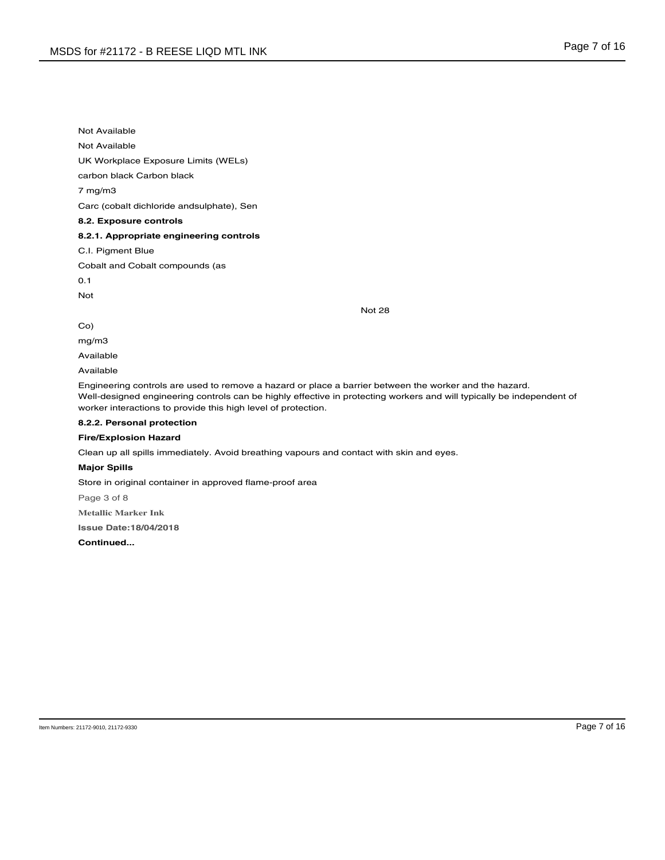Not Available

Not Available

UK Workplace Exposure Limits (WELs)

carbon black Carbon black

7 mg/m3

Carc (cobalt dichloride andsulphate), Sen

# **8.2. Exposure controls**

# **8.2.1. Appropriate engineering controls**

C.I. Pigment Blue

Cobalt and Cobalt compounds (as

0.1

Not

Not 28

Co)

mg/m3

Available

Available

Engineering controls are used to remove a hazard or place a barrier between the worker and the hazard. Well-designed engineering controls can be highly effective in protecting workers and will typically be independent of worker interactions to provide this high level of protection.

# **8.2.2. Personal protection**

# **Fire/Explosion Hazard**

Clean up all spills immediately. Avoid breathing vapours and contact with skin and eyes.

## **Major Spills**

Store in original container in approved flame-proof area

Page 3 of 8

**Metallic Marker Ink**

**Issue Date:18/04/2018**

**Continued...**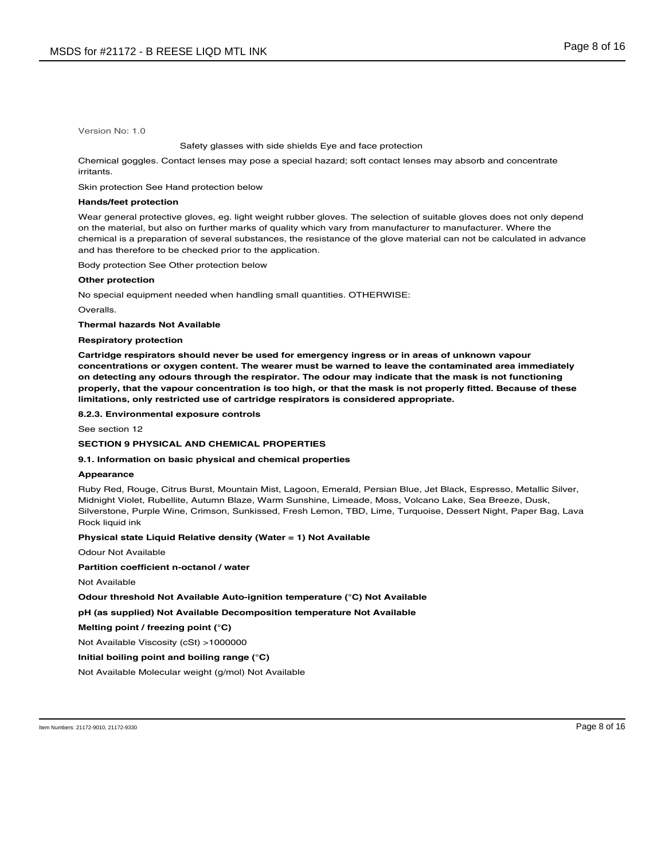#### Safety glasses with side shields Eye and face protection

Chemical goggles. Contact lenses may pose a special hazard; soft contact lenses may absorb and concentrate irritants.

Skin protection See Hand protection below

# **Hands/feet protection**

Wear general protective gloves, eg. light weight rubber gloves. The selection of suitable gloves does not only depend on the material, but also on further marks of quality which vary from manufacturer to manufacturer. Where the chemical is a preparation of several substances, the resistance of the glove material can not be calculated in advance and has therefore to be checked prior to the application.

Body protection See Other protection below

#### **Other protection**

No special equipment needed when handling small quantities. OTHERWISE:

Overalls.

**Thermal hazards Not Available**

**Respiratory protection**

**Cartridge respirators should never be used for emergency ingress or in areas of unknown vapour concentrations or oxygen content. The wearer must be warned to leave the contaminated area immediately on detecting any odours through the respirator. The odour may indicate that the mask is not functioning** properly, that the vapour concentration is too high, or that the mask is not properly fitted. Because of these **limitations, only restricted use of cartridge respirators is considered appropriate.**

**8.2.3. Environmental exposure controls**

See section 12

### **SECTION 9 PHYSICAL AND CHEMICAL PROPERTIES**

### **9.1. Information on basic physical and chemical properties**

#### **Appearance**

Ruby Red, Rouge, Citrus Burst, Mountain Mist, Lagoon, Emerald, Persian Blue, Jet Black, Espresso, Metallic Silver, Midnight Violet, Rubellite, Autumn Blaze, Warm Sunshine, Limeade, Moss, Volcano Lake, Sea Breeze, Dusk, Silverstone, Purple Wine, Crimson, Sunkissed, Fresh Lemon, TBD, Lime, Turquoise, Dessert Night, Paper Bag, Lava Rock liquid ink

## **Physical state Liquid Relative density (Water = 1) Not Available**

Odour Not Available

**Partition coefficient n-octanol / water**

Not Available

# **Odour threshold Not Available Auto-ignition temperature (°C) Not Available**

**pH (as supplied) Not Available Decomposition temperature Not Available**

**Melting point / freezing point (°C)**

Not Available Viscosity (cSt) >1000000

# **Initial boiling point and boiling range (°C)**

Not Available Molecular weight (g/mol) Not Available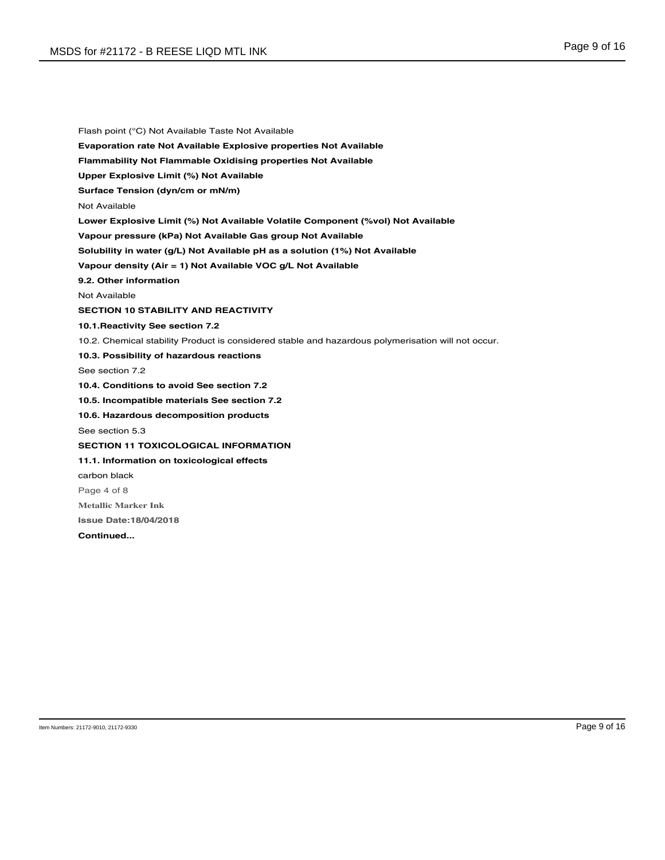Flash point (°C) Not Available Taste Not Available **Evaporation rate Not Available Explosive properties Not Available Flammability Not Flammable Oxidising properties Not Available Upper Explosive Limit (%) Not Available Surface Tension (dyn/cm or mN/m)** Not Available **Lower Explosive Limit (%) Not Available Volatile Component (%vol) Not Available Vapour pressure (kPa) Not Available Gas group Not Available Solubility in water (g/L) Not Available pH as a solution (1%) Not Available Vapour density (Air = 1) Not Available VOC g/L Not Available 9.2. Other information** Not Available **SECTION 10 STABILITY AND REACTIVITY 10.1.Reactivity See section 7.2** 10.2. Chemical stability Product is considered stable and hazardous polymerisation will not occur. **10.3. Possibility of hazardous reactions** See section 7.2 **10.4. Conditions to avoid See section 7.2 10.5. Incompatible materials See section 7.2 10.6. Hazardous decomposition products** See section 5.3 **SECTION 11 TOXICOLOGICAL INFORMATION 11.1. Information on toxicological effects** carbon black Page 4 of 8 **Metallic Marker Ink Issue Date:18/04/2018 Continued...**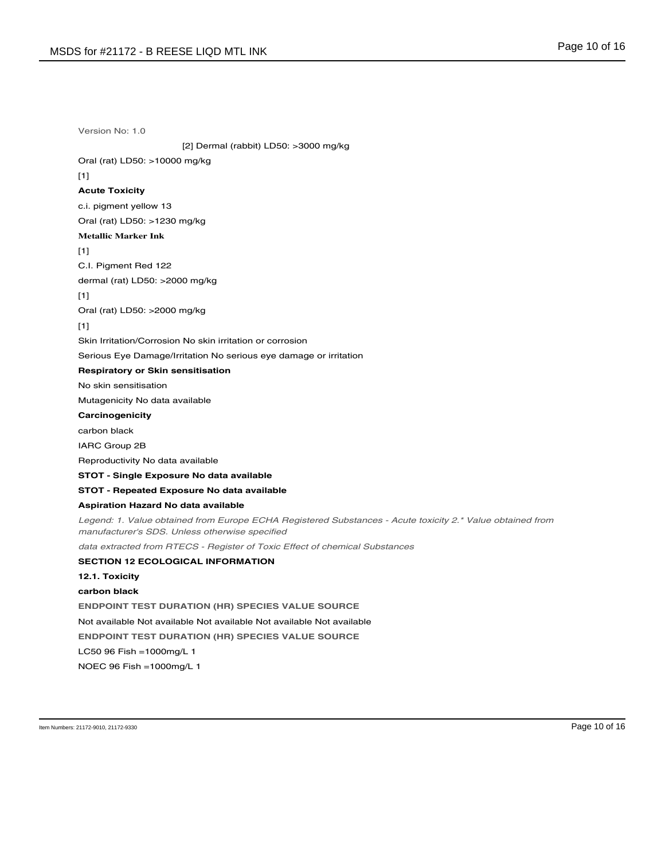Version No: 1.0 [2] Dermal (rabbit) LD50: >3000 mg/kg Oral (rat) LD50: >10000 mg/kg  $[1]$ **Acute Toxicity** c.i. pigment yellow 13 Oral (rat) LD50: >1230 mg/kg **Metallic Marker Ink** [1] C.I. Pigment Red 122 dermal (rat) LD50: >2000 mg/kg [1] Oral (rat) LD50: >2000 mg/kg [1] Skin Irritation/Corrosion No skin irritation or corrosion Serious Eye Damage/Irritation No serious eye damage or irritation **Respiratory or Skin sensitisation** No skin sensitisation Mutagenicity No data available **Carcinogenicity** carbon black IARC Group 2B Reproductivity No data available **STOT - Single Exposure No data available STOT - Repeated Exposure No data available Aspiration Hazard No data available** Legend: 1. Value obtained from Europe ECHA Registered Substances - Acute toxicity 2.\* Value obtained from manufacturer's SDS. Unless otherwise specified data extracted from RTECS - Register of Toxic Effect of chemical Substances **SECTION 12 ECOLOGICAL INFORMATION 12.1. Toxicity carbon black ENDPOINT TEST DURATION (HR) SPECIES VALUE SOURCE** Not available Not available Not available Not available Not available **ENDPOINT TEST DURATION (HR) SPECIES VALUE SOURCE** LC50 96 Fish =1000mg/L 1 NOEC 96 Fish =1000mg/L 1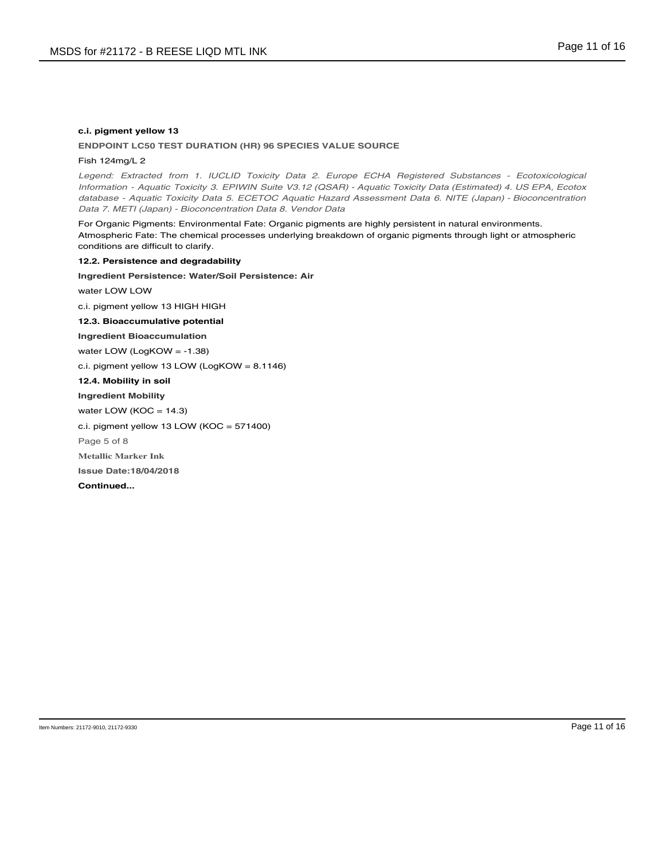# **c.i. pigment yellow 13**

## **ENDPOINT LC50 TEST DURATION (HR) 96 SPECIES VALUE SOURCE**

# Fish 124mg/L 2

Legend: Extracted from 1. IUCLID Toxicity Data 2. Europe ECHA Registered Substances - Ecotoxicological Information - Aquatic Toxicity 3. EPIWIN Suite V3.12 (QSAR) - Aquatic Toxicity Data (Estimated) 4. US EPA, Ecotox database - Aquatic Toxicity Data 5. ECETOC Aquatic Hazard Assessment Data 6. NITE (Japan) - Bioconcentration Data 7. METI (Japan) - Bioconcentration Data 8. Vendor Data

For Organic Pigments: Environmental Fate: Organic pigments are highly persistent in natural environments. Atmospheric Fate: The chemical processes underlying breakdown of organic pigments through light or atmospheric conditions are difficult to clarify.

**12.2. Persistence and degradability Ingredient Persistence: Water/Soil Persistence: Air** water LOW LOW c.i. pigment yellow 13 HIGH HIGH **12.3. Bioaccumulative potential Ingredient Bioaccumulation** water LOW (LogKOW = -1.38) c.i. pigment yellow 13 LOW (LogKOW = 8.1146) **12.4. Mobility in soil Ingredient Mobility** water LOW ( $KOC = 14.3$ ) c.i. pigment yellow 13 LOW (KOC = 571400) Page 5 of 8 **Metallic Marker Ink Issue Date:18/04/2018 Continued...**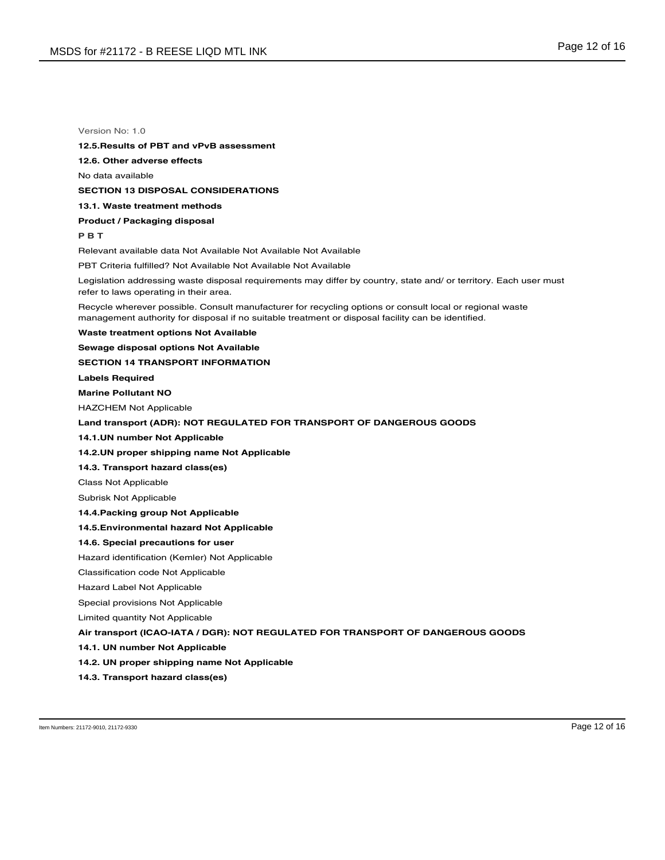#### **12.5.Results of PBT and vPvB assessment**

**12.6. Other adverse effects**

No data available

### **SECTION 13 DISPOSAL CONSIDERATIONS**

**13.1. Waste treatment methods**

#### **Product / Packaging disposal**

**P B T**

Relevant available data Not Available Not Available Not Available

PBT Criteria fulfilled? Not Available Not Available Not Available

Legislation addressing waste disposal requirements may differ by country, state and/ or territory. Each user must refer to laws operating in their area.

Recycle wherever possible. Consult manufacturer for recycling options or consult local or regional waste management authority for disposal if no suitable treatment or disposal facility can be identified.

## **Waste treatment options Not Available**

**Sewage disposal options Not Available**

#### **SECTION 14 TRANSPORT INFORMATION**

**Labels Required**

# **Marine Pollutant NO**

HAZCHEM Not Applicable

# **Land transport (ADR): NOT REGULATED FOR TRANSPORT OF DANGEROUS GOODS**

### **14.1.UN number Not Applicable**

# **14.2.UN proper shipping name Not Applicable**

## **14.3. Transport hazard class(es)**

Class Not Applicable

#### Subrisk Not Applicable

### **14.4.Packing group Not Applicable**

### **14.5.Environmental hazard Not Applicable**

### **14.6. Special precautions for user**

Hazard identification (Kemler) Not Applicable

#### Classification code Not Applicable

Hazard Label Not Applicable

#### Special provisions Not Applicable

Limited quantity Not Applicable

# **Air transport (ICAO-IATA / DGR): NOT REGULATED FOR TRANSPORT OF DANGEROUS GOODS**

### **14.1. UN number Not Applicable**

### **14.2. UN proper shipping name Not Applicable**

**14.3. Transport hazard class(es)**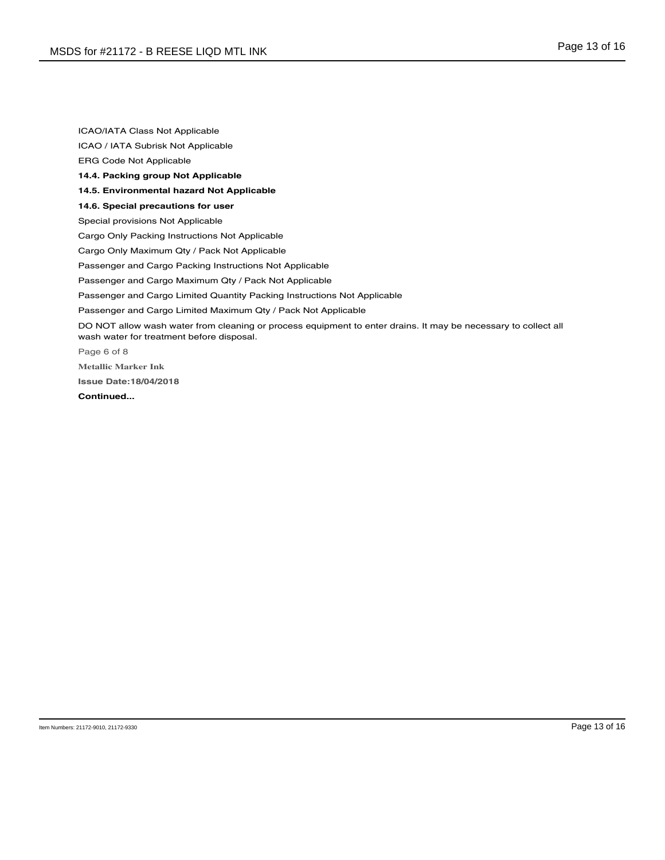ICAO/IATA Class Not Applicable ICAO / IATA Subrisk Not Applicable ERG Code Not Applicable **14.4. Packing group Not Applicable 14.5. Environmental hazard Not Applicable 14.6. Special precautions for user** Special provisions Not Applicable Cargo Only Packing Instructions Not Applicable Cargo Only Maximum Qty / Pack Not Applicable Passenger and Cargo Packing Instructions Not Applicable Passenger and Cargo Maximum Qty / Pack Not Applicable Passenger and Cargo Limited Quantity Packing Instructions Not Applicable Passenger and Cargo Limited Maximum Qty / Pack Not Applicable DO NOT allow wash water from cleaning or process equipment to enter drains. It may be necessary to collect all wash water for treatment before disposal. Page 6 of 8 **Metallic Marker Ink Issue Date:18/04/2018 Continued...**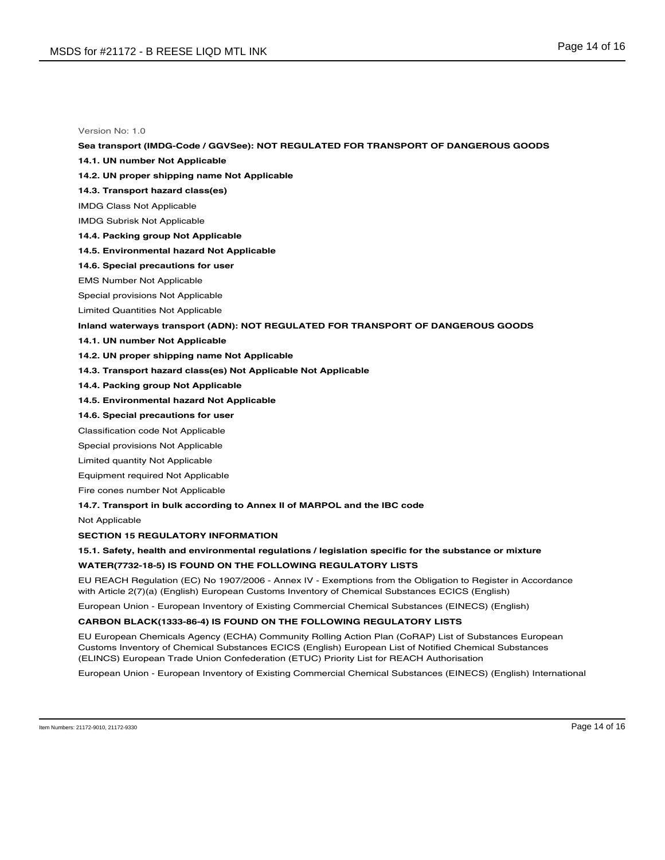# **Sea transport (IMDG-Code / GGVSee): NOT REGULATED FOR TRANSPORT OF DANGEROUS GOODS**

- **14.1. UN number Not Applicable**
- **14.2. UN proper shipping name Not Applicable**
- **14.3. Transport hazard class(es)**
- IMDG Class Not Applicable
- IMDG Subrisk Not Applicable
- **14.4. Packing group Not Applicable**
- **14.5. Environmental hazard Not Applicable**
- **14.6. Special precautions for user**
- EMS Number Not Applicable
- Special provisions Not Applicable
- Limited Quantities Not Applicable

#### **Inland waterways transport (ADN): NOT REGULATED FOR TRANSPORT OF DANGEROUS GOODS**

- **14.1. UN number Not Applicable**
- **14.2. UN proper shipping name Not Applicable**
- **14.3. Transport hazard class(es) Not Applicable Not Applicable**
- **14.4. Packing group Not Applicable**
- **14.5. Environmental hazard Not Applicable**
- **14.6. Special precautions for user**
- Classification code Not Applicable
- Special provisions Not Applicable
- Limited quantity Not Applicable
- Equipment required Not Applicable
- Fire cones number Not Applicable
- **14.7. Transport in bulk according to Annex II of MARPOL and the IBC code**

Not Applicable

**SECTION 15 REGULATORY INFORMATION**

# **15.1. Safety, health and environmental regulations / legislation specific for the substance or mixture**

# **WATER(7732-18-5) IS FOUND ON THE FOLLOWING REGULATORY LISTS**

EU REACH Regulation (EC) No 1907/2006 - Annex IV - Exemptions from the Obligation to Register in Accordance with Article 2(7)(a) (English) European Customs Inventory of Chemical Substances ECICS (English)

European Union - European Inventory of Existing Commercial Chemical Substances (EINECS) (English)

### **CARBON BLACK(1333-86-4) IS FOUND ON THE FOLLOWING REGULATORY LISTS**

EU European Chemicals Agency (ECHA) Community Rolling Action Plan (CoRAP) List of Substances European Customs Inventory of Chemical Substances ECICS (English) European List of Notified Chemical Substances (ELINCS) European Trade Union Confederation (ETUC) Priority List for REACH Authorisation

European Union - European Inventory of Existing Commercial Chemical Substances (EINECS) (English) International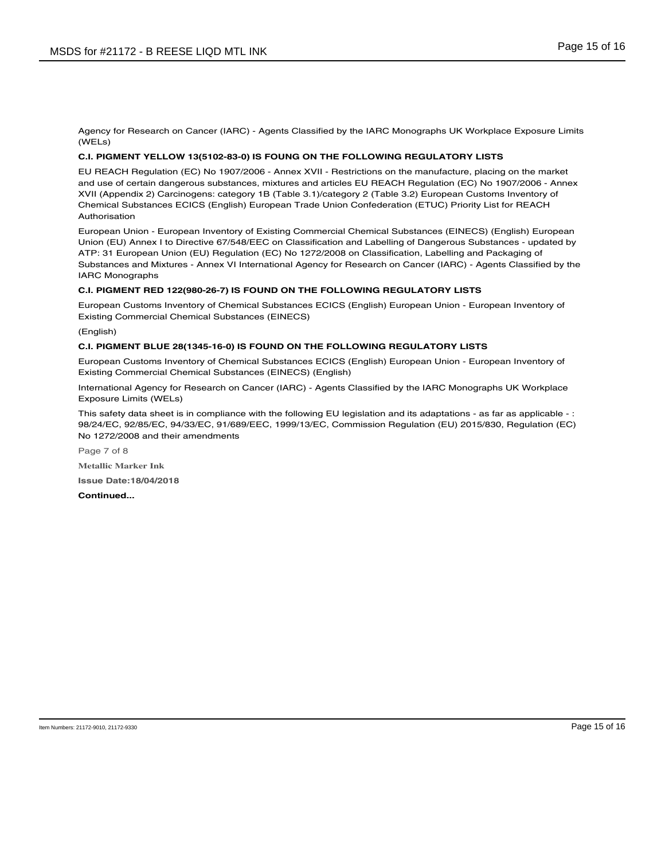Agency for Research on Cancer (IARC) - Agents Classified by the IARC Monographs UK Workplace Exposure Limits (WELs)

# **C.I. PIGMENT YELLOW 13(5102-83-0) IS FOUNG ON THE FOLLOWING REGULATORY LISTS**

EU REACH Regulation (EC) No 1907/2006 - Annex XVII - Restrictions on the manufacture, placing on the market and use of certain dangerous substances, mixtures and articles EU REACH Regulation (EC) No 1907/2006 - Annex XVII (Appendix 2) Carcinogens: category 1B (Table 3.1)/category 2 (Table 3.2) European Customs Inventory of Chemical Substances ECICS (English) European Trade Union Confederation (ETUC) Priority List for REACH Authorisation

European Union - European Inventory of Existing Commercial Chemical Substances (EINECS) (English) European Union (EU) Annex I to Directive 67/548/EEC on Classification and Labelling of Dangerous Substances - updated by ATP: 31 European Union (EU) Regulation (EC) No 1272/2008 on Classification, Labelling and Packaging of Substances and Mixtures - Annex VI International Agency for Research on Cancer (IARC) - Agents Classified by the IARC Monographs

# **C.I. PIGMENT RED 122(980-26-7) IS FOUND ON THE FOLLOWING REGULATORY LISTS**

European Customs Inventory of Chemical Substances ECICS (English) European Union - European Inventory of Existing Commercial Chemical Substances (EINECS)

(English)

# **C.I. PIGMENT BLUE 28(1345-16-0) IS FOUND ON THE FOLLOWING REGULATORY LISTS**

European Customs Inventory of Chemical Substances ECICS (English) European Union - European Inventory of Existing Commercial Chemical Substances (EINECS) (English)

International Agency for Research on Cancer (IARC) - Agents Classified by the IARC Monographs UK Workplace Exposure Limits (WELs)

This safety data sheet is in compliance with the following EU legislation and its adaptations - as far as applicable - : 98/24/EC, 92/85/EC, 94/33/EC, 91/689/EEC, 1999/13/EC, Commission Regulation (EU) 2015/830, Regulation (EC) No 1272/2008 and their amendments

Page 7 of 8

**Metallic Marker Ink**

**Issue Date:18/04/2018**

**Continued...**